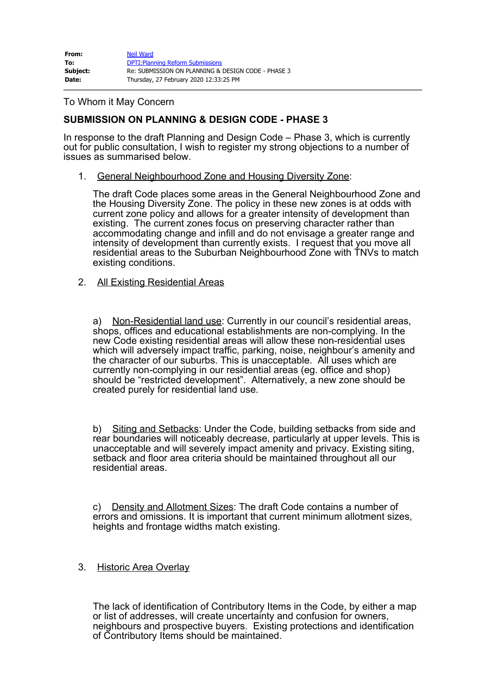| From:    | Neil Ward                                          |
|----------|----------------------------------------------------|
| To:      | <b>DPTI: Planning Reform Submissions</b>           |
| Subject: | Re: SUBMISSION ON PLANNING & DESIGN CODE - PHASE 3 |
| Date:    | Thursday, 27 February 2020 12:33:25 PM             |

## To Whom it May Concern

# **SUBMISSION ON PLANNING & DESIGN CODE - PHASE 3**

In response to the draft Planning and Design Code – Phase 3, which is currently out for public consultation, I wish to register my strong objections to a number of issues as summarised below.

1. General Neighbourhood Zone and Housing Diversity Zone:

The draft Code places some areas in the General Neighbourhood Zone and the Housing Diversity Zone. The policy in these new zones is at odds with current zone policy and allows for a greater intensity of development than existing. The current zones focus on preserving character rather than accommodating change and infill and do not envisage a greater range and intensity of development than currently exists. I request that you move all residential areas to the Suburban Neighbourhood Zone with TNVs to match existing conditions.

2. All Existing Residential Areas

a) Non-Residential land use: Currently in our council's residential areas, shops, offices and educational establishments are non-complying. In the new Code existing residential areas will allow these non-residential uses which will adversely impact traffic, parking, noise, neighbour's amenity and the character of our suburbs. This is unacceptable. All uses which are currently non-complying in our residential areas (eg. office and shop) should be "restricted development". Alternatively, a new zone should be created purely for residential land use.

b) Siting and Setbacks: Under the Code, building setbacks from side and rear boundaries will noticeably decrease, particularly at upper levels. This is unacceptable and will severely impact amenity and privacy. Existing siting, setback and floor area criteria should be maintained throughout all our residential areas.

c) Density and Allotment Sizes: The draft Code contains a number of errors and omissions. It is important that current minimum allotment sizes, heights and frontage widths match existing.

## 3. Historic Area Overlay

The lack of identification of Contributory Items in the Code, by either a map or list of addresses, will create uncertainty and confusion for owners, neighbours and prospective buyers. Existing protections and identification of Contributory Items should be maintained.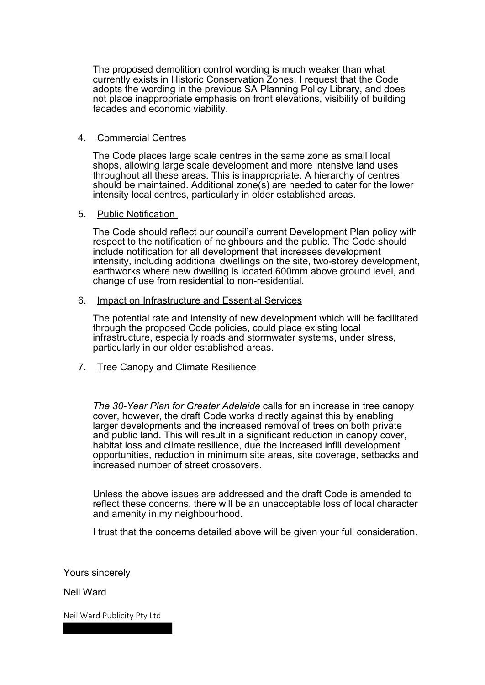The proposed demolition control wording is much weaker than what currently exists in Historic Conservation Zones. I request that the Code adopts the wording in the previous SA Planning Policy Library, and does not place inappropriate emphasis on front elevations, visibility of building facades and economic viability.

## 4. Commercial Centres

The Code places large scale centres in the same zone as small local shops, allowing large scale development and more intensive land uses throughout all these areas. This is inappropriate. A hierarchy of centres should be maintained. Additional zone(s) are needed to cater for the lower intensity local centres, particularly in older established areas.

#### 5. Public Notification

The Code should reflect our council's current Development Plan policy with respect to the notification of neighbours and the public. The Code should include notification for all development that increases development intensity, including additional dwellings on the site, two-storey development, earthworks where new dwelling is located 600mm above ground level, and change of use from residential to non-residential.

#### 6. Impact on Infrastructure and Essential Services

The potential rate and intensity of new development which will be facilitated through the proposed Code policies, could place existing local infrastructure, especially roads and stormwater systems, under stress, particularly in our older established areas.

## 7. Tree Canopy and Climate Resilience

*The 30-Year Plan for Greater Adelaide* calls for an increase in tree canopy cover, however, the draft Code works directly against this by enabling larger developments and the increased removal of trees on both private and public land. This will result in a significant reduction in canopy cover, habitat loss and climate resilience, due the increased infill development opportunities, reduction in minimum site areas, site coverage, setbacks and increased number of street crossovers.

Unless the above issues are addressed and the draft Code is amended to reflect these concerns, there will be an unacceptable loss of local character and amenity in my neighbourhood.

I trust that the concerns detailed above will be given your full consideration.

Yours sincerely

Neil Ward

Neil Ward Publicity Pty Ltd